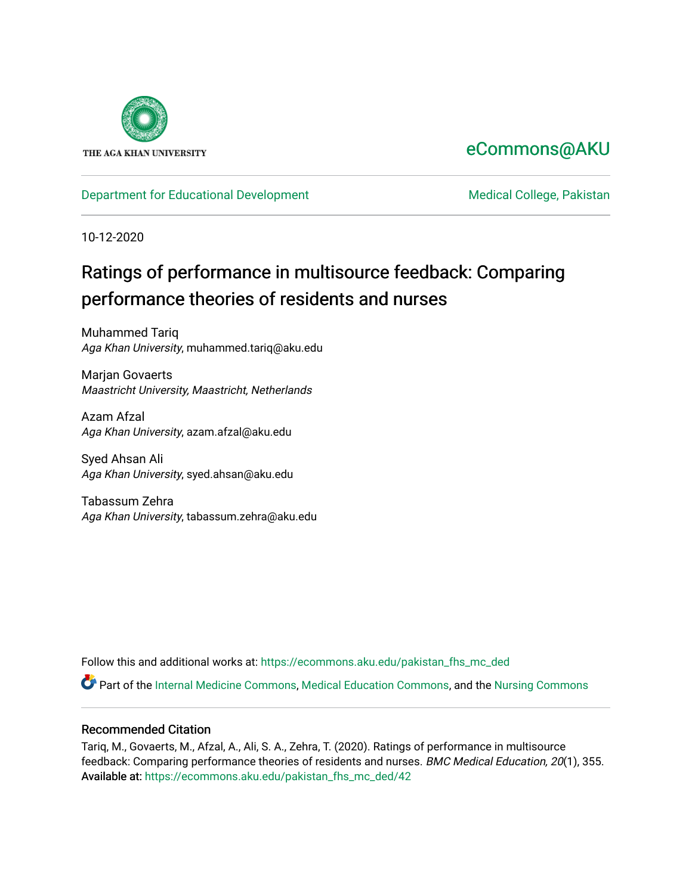

# [eCommons@AKU](https://ecommons.aku.edu/)

# [Department for Educational Development](https://ecommons.aku.edu/pakistan_fhs_mc_ded) Medical College, Pakistan

10-12-2020

# Ratings of performance in multisource feedback: Comparing performance theories of residents and nurses

Muhammed Tariq Aga Khan University, muhammed.tariq@aku.edu

Marjan Govaerts Maastricht University, Maastricht, Netherlands

Azam Afzal Aga Khan University, azam.afzal@aku.edu

Syed Ahsan Ali Aga Khan University, syed.ahsan@aku.edu

Tabassum Zehra Aga Khan University, tabassum.zehra@aku.edu

Follow this and additional works at: [https://ecommons.aku.edu/pakistan\\_fhs\\_mc\\_ded](https://ecommons.aku.edu/pakistan_fhs_mc_ded?utm_source=ecommons.aku.edu%2Fpakistan_fhs_mc_ded%2F42&utm_medium=PDF&utm_campaign=PDFCoverPages)

Part of the [Internal Medicine Commons](http://network.bepress.com/hgg/discipline/1356?utm_source=ecommons.aku.edu%2Fpakistan_fhs_mc_ded%2F42&utm_medium=PDF&utm_campaign=PDFCoverPages), [Medical Education Commons](http://network.bepress.com/hgg/discipline/1125?utm_source=ecommons.aku.edu%2Fpakistan_fhs_mc_ded%2F42&utm_medium=PDF&utm_campaign=PDFCoverPages), and the [Nursing Commons](http://network.bepress.com/hgg/discipline/718?utm_source=ecommons.aku.edu%2Fpakistan_fhs_mc_ded%2F42&utm_medium=PDF&utm_campaign=PDFCoverPages) 

# Recommended Citation

Tariq, M., Govaerts, M., Afzal, A., Ali, S. A., Zehra, T. (2020). Ratings of performance in multisource feedback: Comparing performance theories of residents and nurses. BMC Medical Education, 20(1), 355. Available at: [https://ecommons.aku.edu/pakistan\\_fhs\\_mc\\_ded/42](https://ecommons.aku.edu/pakistan_fhs_mc_ded/42)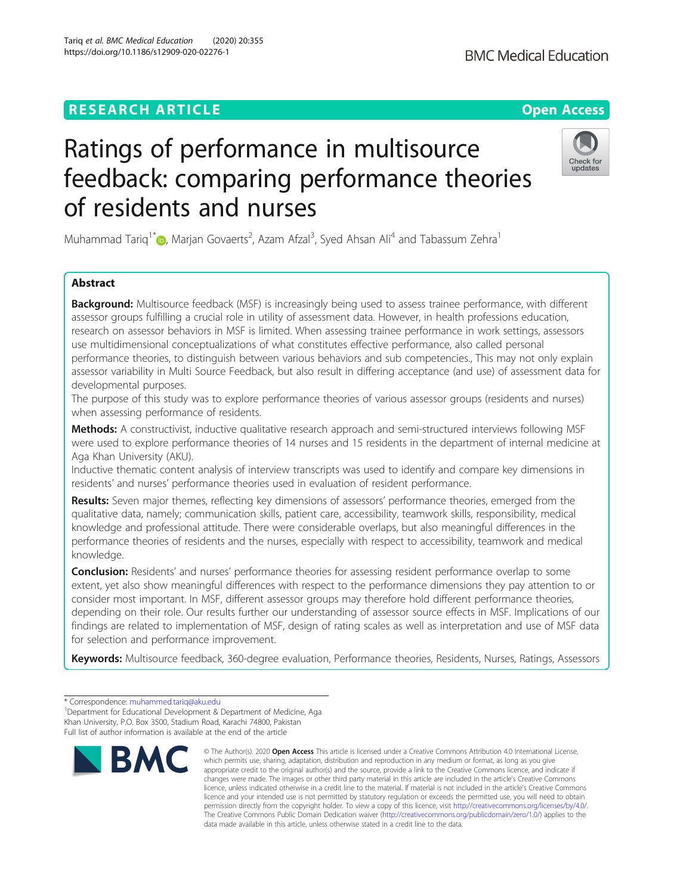# **RESEARCH ARTICLE Example 2014 12:30 The Contract of Contract ACCESS**

# Ratings of performance in multisource feedback: comparing performance theories of residents and nurses

Muhammad Tariq<sup>1\*</sup> (**b**[,](http://orcid.org/0000-0001-9770-2065) Marjan Govaerts<sup>2</sup>, Azam Afzal<sup>3</sup>, Syed Ahsan Ali<sup>4</sup> and Tabassum Zehra<sup>1</sup>

# Abstract

Background: Multisource feedback (MSF) is increasingly being used to assess trainee performance, with different assessor groups fulfilling a crucial role in utility of assessment data. However, in health professions education, research on assessor behaviors in MSF is limited. When assessing trainee performance in work settings, assessors use multidimensional conceptualizations of what constitutes effective performance, also called personal performance theories, to distinguish between various behaviors and sub competencies., This may not only explain assessor variability in Multi Source Feedback, but also result in differing acceptance (and use) of assessment data for developmental purposes.

The purpose of this study was to explore performance theories of various assessor groups (residents and nurses) when assessing performance of residents.

Methods: A constructivist, inductive qualitative research approach and semi-structured interviews following MSF were used to explore performance theories of 14 nurses and 15 residents in the department of internal medicine at Aga Khan University (AKU).

Inductive thematic content analysis of interview transcripts was used to identify and compare key dimensions in residents' and nurses' performance theories used in evaluation of resident performance.

Results: Seven major themes, reflecting key dimensions of assessors' performance theories, emerged from the qualitative data, namely; communication skills, patient care, accessibility, teamwork skills, responsibility, medical knowledge and professional attitude. There were considerable overlaps, but also meaningful differences in the performance theories of residents and the nurses, especially with respect to accessibility, teamwork and medical knowledge.

**Conclusion:** Residents' and nurses' performance theories for assessing resident performance overlap to some extent, yet also show meaningful differences with respect to the performance dimensions they pay attention to or consider most important. In MSF, different assessor groups may therefore hold different performance theories, depending on their role. Our results further our understanding of assessor source effects in MSF. Implications of our findings are related to implementation of MSF, design of rating scales as well as interpretation and use of MSF data for selection and performance improvement.

Keywords: Multisource feedback, 360-degree evaluation, Performance theories, Residents, Nurses, Ratings, Assessors

data made available in this article, unless otherwise stated in a credit line to the data.

© The Author(s), 2020 **Open Access** This article is licensed under a Creative Commons Attribution 4.0 International License,







<sup>\*</sup> Correspondence: [muhammed.tariq@aku.edu](mailto:muhammed.tariq@aku.edu) <sup>1</sup>

<sup>&</sup>lt;sup>1</sup> Department for Educational Development & Department of Medicine, Aga Khan University, P.O. Box 3500, Stadium Road, Karachi 74800, Pakistan Full list of author information is available at the end of the article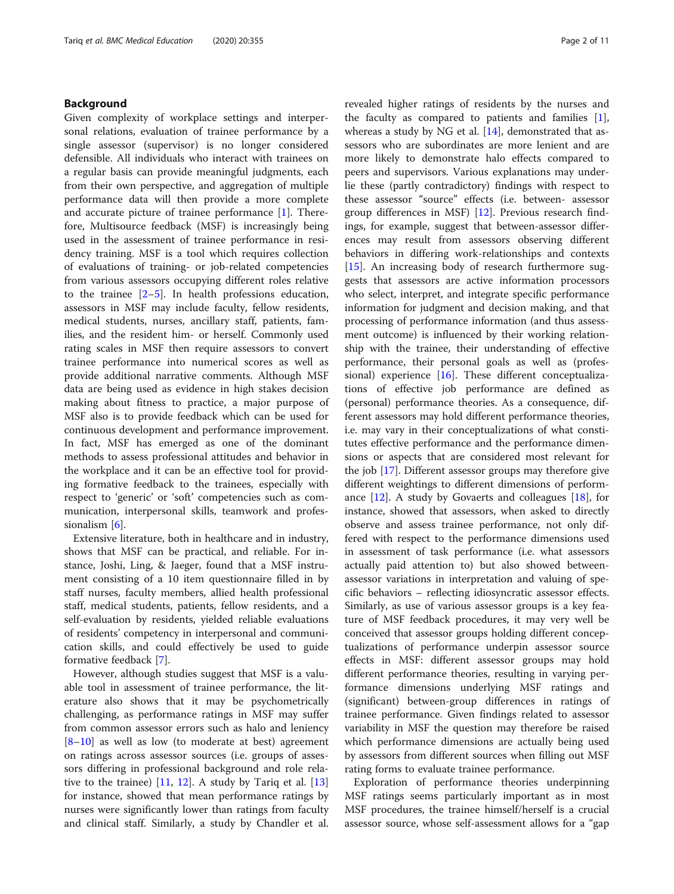# Background

Given complexity of workplace settings and interpersonal relations, evaluation of trainee performance by a single assessor (supervisor) is no longer considered defensible. All individuals who interact with trainees on a regular basis can provide meaningful judgments, each from their own perspective, and aggregation of multiple performance data will then provide a more complete and accurate picture of trainee performance [[1](#page-10-0)]. Therefore, Multisource feedback (MSF) is increasingly being used in the assessment of trainee performance in residency training. MSF is a tool which requires collection of evaluations of training- or job-related competencies from various assessors occupying different roles relative to the trainee  $[2-5]$  $[2-5]$  $[2-5]$  $[2-5]$  $[2-5]$ . In health professions education, assessors in MSF may include faculty, fellow residents, medical students, nurses, ancillary staff, patients, families, and the resident him- or herself. Commonly used rating scales in MSF then require assessors to convert trainee performance into numerical scores as well as provide additional narrative comments. Although MSF data are being used as evidence in high stakes decision making about fitness to practice, a major purpose of MSF also is to provide feedback which can be used for continuous development and performance improvement. In fact, MSF has emerged as one of the dominant methods to assess professional attitudes and behavior in the workplace and it can be an effective tool for providing formative feedback to the trainees, especially with respect to 'generic' or 'soft' competencies such as communication, interpersonal skills, teamwork and professionalism [\[6](#page-11-0)].

Extensive literature, both in healthcare and in industry, shows that MSF can be practical, and reliable. For instance, Joshi, Ling, & Jaeger, found that a MSF instrument consisting of a 10 item questionnaire filled in by staff nurses, faculty members, allied health professional staff, medical students, patients, fellow residents, and a self-evaluation by residents, yielded reliable evaluations of residents' competency in interpersonal and communication skills, and could effectively be used to guide formative feedback [\[7](#page-11-0)].

However, although studies suggest that MSF is a valuable tool in assessment of trainee performance, the literature also shows that it may be psychometrically challenging, as performance ratings in MSF may suffer from common assessor errors such as halo and leniency [[8](#page-11-0)–[10\]](#page-11-0) as well as low (to moderate at best) agreement on ratings across assessor sources (i.e. groups of assessors differing in professional background and role relative to the trainee)  $[11, 12]$  $[11, 12]$  $[11, 12]$ . A study by Tariq et al.  $[13]$  $[13]$  $[13]$ for instance, showed that mean performance ratings by nurses were significantly lower than ratings from faculty and clinical staff. Similarly, a study by Chandler et al.

revealed higher ratings of residents by the nurses and the faculty as compared to patients and families [\[1](#page-10-0)], whereas a study by NG et al. [[14\]](#page-11-0), demonstrated that assessors who are subordinates are more lenient and are more likely to demonstrate halo effects compared to peers and supervisors. Various explanations may underlie these (partly contradictory) findings with respect to these assessor "source" effects (i.e. between- assessor group differences in MSF) [[12](#page-11-0)]. Previous research findings, for example, suggest that between-assessor differences may result from assessors observing different behaviors in differing work-relationships and contexts [[15\]](#page-11-0). An increasing body of research furthermore suggests that assessors are active information processors who select, interpret, and integrate specific performance information for judgment and decision making, and that processing of performance information (and thus assessment outcome) is influenced by their working relationship with the trainee, their understanding of effective performance, their personal goals as well as (professional) experience [\[16](#page-11-0)]. These different conceptualizations of effective job performance are defined as (personal) performance theories. As a consequence, different assessors may hold different performance theories, i.e. may vary in their conceptualizations of what constitutes effective performance and the performance dimensions or aspects that are considered most relevant for the job [\[17](#page-11-0)]. Different assessor groups may therefore give different weightings to different dimensions of performance  $[12]$  $[12]$ . A study by Govaerts and colleagues  $[18]$  $[18]$ , for instance, showed that assessors, when asked to directly observe and assess trainee performance, not only differed with respect to the performance dimensions used in assessment of task performance (i.e. what assessors actually paid attention to) but also showed betweenassessor variations in interpretation and valuing of specific behaviors – reflecting idiosyncratic assessor effects. Similarly, as use of various assessor groups is a key feature of MSF feedback procedures, it may very well be conceived that assessor groups holding different conceptualizations of performance underpin assessor source effects in MSF: different assessor groups may hold different performance theories, resulting in varying performance dimensions underlying MSF ratings and (significant) between-group differences in ratings of trainee performance. Given findings related to assessor variability in MSF the question may therefore be raised which performance dimensions are actually being used by assessors from different sources when filling out MSF rating forms to evaluate trainee performance.

Exploration of performance theories underpinning MSF ratings seems particularly important as in most MSF procedures, the trainee himself/herself is a crucial assessor source, whose self-assessment allows for a "gap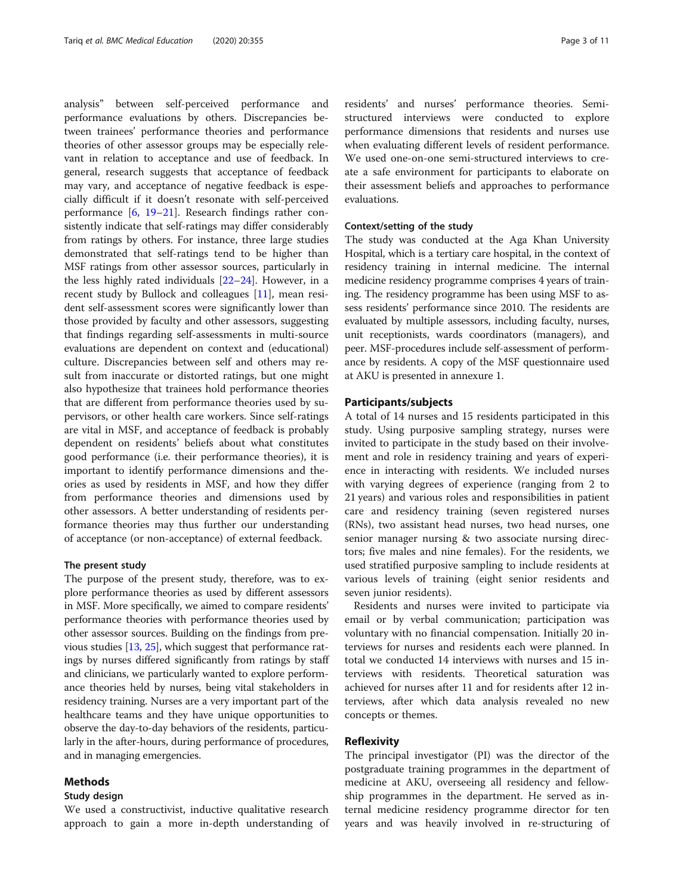analysis" between self-perceived performance and performance evaluations by others. Discrepancies between trainees' performance theories and performance theories of other assessor groups may be especially relevant in relation to acceptance and use of feedback. In general, research suggests that acceptance of feedback may vary, and acceptance of negative feedback is especially difficult if it doesn't resonate with self-perceived performance [\[6](#page-11-0), [19](#page-11-0)–[21\]](#page-11-0). Research findings rather consistently indicate that self-ratings may differ considerably from ratings by others. For instance, three large studies demonstrated that self-ratings tend to be higher than MSF ratings from other assessor sources, particularly in the less highly rated individuals [[22](#page-11-0)–[24](#page-11-0)]. However, in a recent study by Bullock and colleagues [\[11](#page-11-0)], mean resident self-assessment scores were significantly lower than those provided by faculty and other assessors, suggesting that findings regarding self-assessments in multi-source evaluations are dependent on context and (educational) culture. Discrepancies between self and others may result from inaccurate or distorted ratings, but one might also hypothesize that trainees hold performance theories that are different from performance theories used by supervisors, or other health care workers. Since self-ratings are vital in MSF, and acceptance of feedback is probably dependent on residents' beliefs about what constitutes good performance (i.e. their performance theories), it is important to identify performance dimensions and theories as used by residents in MSF, and how they differ from performance theories and dimensions used by other assessors. A better understanding of residents performance theories may thus further our understanding of acceptance (or non-acceptance) of external feedback.

#### The present study

The purpose of the present study, therefore, was to explore performance theories as used by different assessors in MSF. More specifically, we aimed to compare residents' performance theories with performance theories used by other assessor sources. Building on the findings from previous studies [[13](#page-11-0), [25\]](#page-11-0), which suggest that performance ratings by nurses differed significantly from ratings by staff and clinicians, we particularly wanted to explore performance theories held by nurses, being vital stakeholders in residency training. Nurses are a very important part of the healthcare teams and they have unique opportunities to observe the day-to-day behaviors of the residents, particularly in the after-hours, during performance of procedures, and in managing emergencies.

# Methods

# Study design

We used a constructivist, inductive qualitative research approach to gain a more in-depth understanding of residents' and nurses' performance theories. Semistructured interviews were conducted to explore performance dimensions that residents and nurses use when evaluating different levels of resident performance. We used one-on-one semi-structured interviews to create a safe environment for participants to elaborate on their assessment beliefs and approaches to performance evaluations.

# Context/setting of the study

The study was conducted at the Aga Khan University Hospital, which is a tertiary care hospital, in the context of residency training in internal medicine. The internal medicine residency programme comprises 4 years of training. The residency programme has been using MSF to assess residents' performance since 2010. The residents are evaluated by multiple assessors, including faculty, nurses, unit receptionists, wards coordinators (managers), and peer. MSF-procedures include self-assessment of performance by residents. A copy of the MSF questionnaire used at AKU is presented in annexure 1.

#### Participants/subjects

A total of 14 nurses and 15 residents participated in this study. Using purposive sampling strategy, nurses were invited to participate in the study based on their involvement and role in residency training and years of experience in interacting with residents. We included nurses with varying degrees of experience (ranging from 2 to 21 years) and various roles and responsibilities in patient care and residency training (seven registered nurses (RNs), two assistant head nurses, two head nurses, one senior manager nursing & two associate nursing directors; five males and nine females). For the residents, we used stratified purposive sampling to include residents at various levels of training (eight senior residents and seven junior residents).

Residents and nurses were invited to participate via email or by verbal communication; participation was voluntary with no financial compensation. Initially 20 interviews for nurses and residents each were planned. In total we conducted 14 interviews with nurses and 15 interviews with residents. Theoretical saturation was achieved for nurses after 11 and for residents after 12 interviews, after which data analysis revealed no new concepts or themes.

#### Reflexivity

The principal investigator (PI) was the director of the postgraduate training programmes in the department of medicine at AKU, overseeing all residency and fellowship programmes in the department. He served as internal medicine residency programme director for ten years and was heavily involved in re-structuring of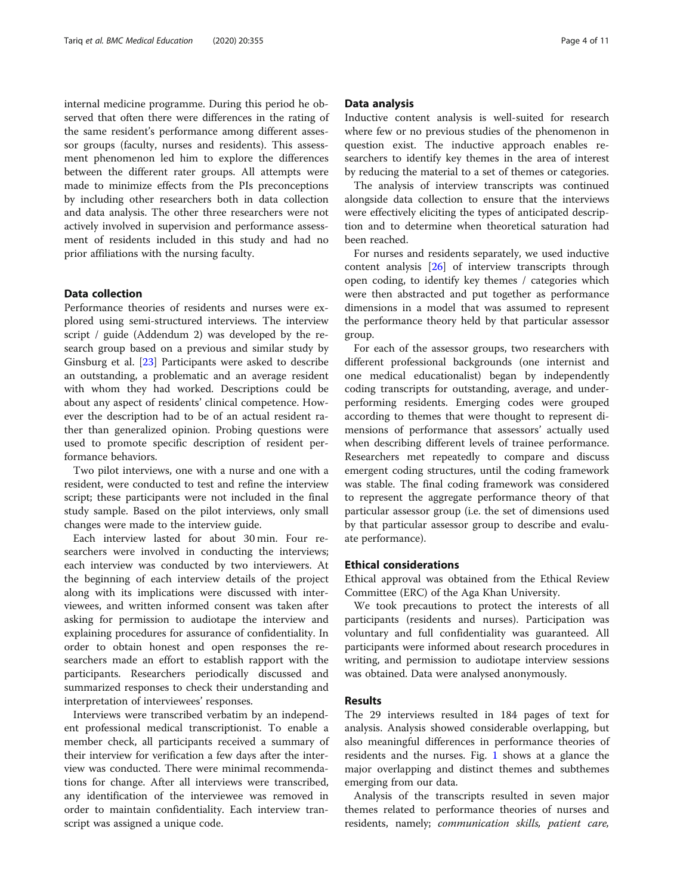internal medicine programme. During this period he observed that often there were differences in the rating of the same resident's performance among different assessor groups (faculty, nurses and residents). This assessment phenomenon led him to explore the differences between the different rater groups. All attempts were made to minimize effects from the PIs preconceptions by including other researchers both in data collection and data analysis. The other three researchers were not actively involved in supervision and performance assessment of residents included in this study and had no prior affiliations with the nursing faculty.

# Data collection

Performance theories of residents and nurses were explored using semi-structured interviews. The interview script / guide (Addendum 2) was developed by the research group based on a previous and similar study by Ginsburg et al. [\[23\]](#page-11-0) Participants were asked to describe an outstanding, a problematic and an average resident with whom they had worked. Descriptions could be about any aspect of residents' clinical competence. However the description had to be of an actual resident rather than generalized opinion. Probing questions were used to promote specific description of resident performance behaviors.

Two pilot interviews, one with a nurse and one with a resident, were conducted to test and refine the interview script; these participants were not included in the final study sample. Based on the pilot interviews, only small changes were made to the interview guide.

Each interview lasted for about 30 min. Four researchers were involved in conducting the interviews; each interview was conducted by two interviewers. At the beginning of each interview details of the project along with its implications were discussed with interviewees, and written informed consent was taken after asking for permission to audiotape the interview and explaining procedures for assurance of confidentiality. In order to obtain honest and open responses the researchers made an effort to establish rapport with the participants. Researchers periodically discussed and summarized responses to check their understanding and interpretation of interviewees' responses.

Interviews were transcribed verbatim by an independent professional medical transcriptionist. To enable a member check, all participants received a summary of their interview for verification a few days after the interview was conducted. There were minimal recommendations for change. After all interviews were transcribed, any identification of the interviewee was removed in order to maintain confidentiality. Each interview transcript was assigned a unique code.

## Data analysis

Inductive content analysis is well-suited for research where few or no previous studies of the phenomenon in question exist. The inductive approach enables researchers to identify key themes in the area of interest by reducing the material to a set of themes or categories.

The analysis of interview transcripts was continued alongside data collection to ensure that the interviews were effectively eliciting the types of anticipated description and to determine when theoretical saturation had been reached.

For nurses and residents separately, we used inductive content analysis [[26](#page-11-0)] of interview transcripts through open coding, to identify key themes / categories which were then abstracted and put together as performance dimensions in a model that was assumed to represent the performance theory held by that particular assessor group.

For each of the assessor groups, two researchers with different professional backgrounds (one internist and one medical educationalist) began by independently coding transcripts for outstanding, average, and underperforming residents. Emerging codes were grouped according to themes that were thought to represent dimensions of performance that assessors' actually used when describing different levels of trainee performance. Researchers met repeatedly to compare and discuss emergent coding structures, until the coding framework was stable. The final coding framework was considered to represent the aggregate performance theory of that particular assessor group (i.e. the set of dimensions used by that particular assessor group to describe and evaluate performance).

#### Ethical considerations

Ethical approval was obtained from the Ethical Review Committee (ERC) of the Aga Khan University.

We took precautions to protect the interests of all participants (residents and nurses). Participation was voluntary and full confidentiality was guaranteed. All participants were informed about research procedures in writing, and permission to audiotape interview sessions was obtained. Data were analysed anonymously.

# Results

The 29 interviews resulted in 184 pages of text for analysis. Analysis showed considerable overlapping, but also meaningful differences in performance theories of residents and the nurses. Fig. [1](#page-5-0) shows at a glance the major overlapping and distinct themes and subthemes emerging from our data.

Analysis of the transcripts resulted in seven major themes related to performance theories of nurses and residents, namely; communication skills, patient care,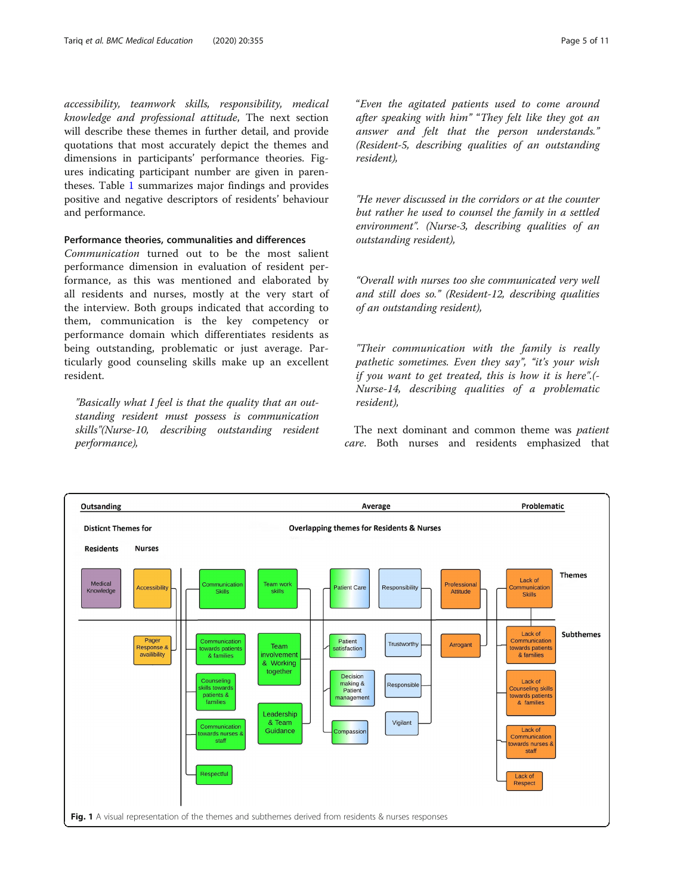<span id="page-5-0"></span>accessibility, teamwork skills, responsibility, medical knowledge and professional attitude, The next section will describe these themes in further detail, and provide quotations that most accurately depict the themes and dimensions in participants' performance theories. Figures indicating participant number are given in parentheses. Table [1](#page-6-0) summarizes major findings and provides positive and negative descriptors of residents' behaviour and performance.

### Performance theories, communalities and differences

Communication turned out to be the most salient performance dimension in evaluation of resident performance, as this was mentioned and elaborated by all residents and nurses, mostly at the very start of the interview. Both groups indicated that according to them, communication is the key competency or performance domain which differentiates residents as being outstanding, problematic or just average. Particularly good counseling skills make up an excellent resident.

"Basically what I feel is that the quality that an outstanding resident must possess is communication skills"(Nurse-10, describing outstanding resident performance),

"Even the agitated patients used to come around after speaking with him" "They felt like they got an answer and felt that the person understands." (Resident-5, describing qualities of an outstanding resident),

"He never discussed in the corridors or at the counter but rather he used to counsel the family in a settled environment". (Nurse-3, describing qualities of an outstanding resident),

"Overall with nurses too she communicated very well and still does so." (Resident-12, describing qualities of an outstanding resident),

"Their communication with the family is really pathetic sometimes. Even they say", "it's your wish if you want to get treated, this is how it is here".(- Nurse-14, describing qualities of a problematic resident),

The next dominant and common theme was *patient* care. Both nurses and residents emphasized that

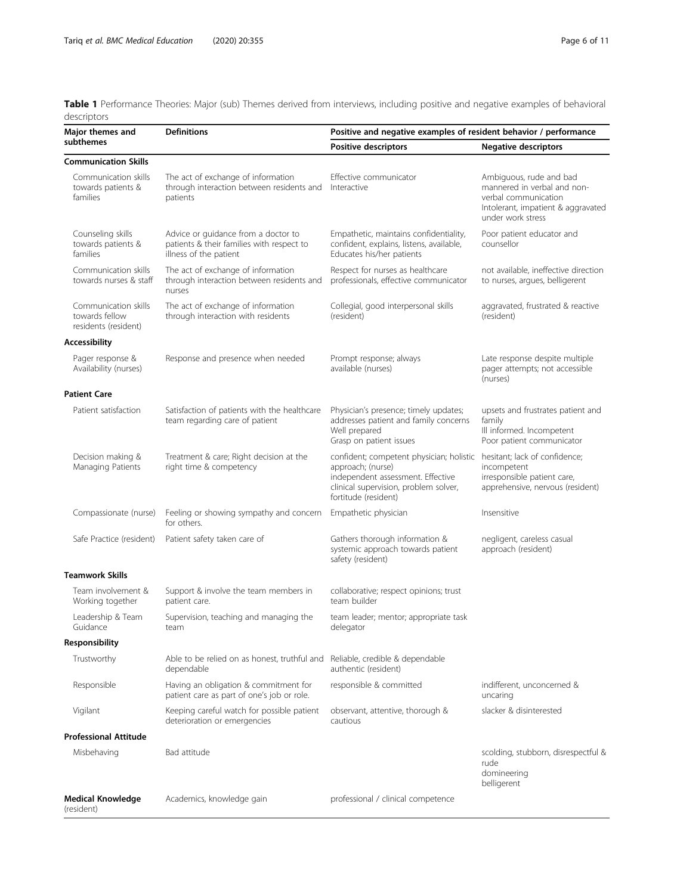<span id="page-6-0"></span>Table 1 Performance Theories: Major (sub) Themes derived from interviews, including positive and negative examples of behavioral descriptors

| Major themes and<br>subthemes                                  | <b>Definitions</b>                                                                                         | Positive and negative examples of resident behavior / performance                                                                                                                                 |                                                                                                                                           |
|----------------------------------------------------------------|------------------------------------------------------------------------------------------------------------|---------------------------------------------------------------------------------------------------------------------------------------------------------------------------------------------------|-------------------------------------------------------------------------------------------------------------------------------------------|
|                                                                |                                                                                                            | Positive descriptors                                                                                                                                                                              | <b>Negative descriptors</b>                                                                                                               |
| <b>Communication Skills</b>                                    |                                                                                                            |                                                                                                                                                                                                   |                                                                                                                                           |
| Communication skills<br>towards patients &<br>families         | The act of exchange of information<br>through interaction between residents and Interactive<br>patients    | Effective communicator                                                                                                                                                                            | Ambiguous, rude and bad<br>mannered in verbal and non-<br>verbal communication<br>Intolerant, impatient & aggravated<br>under work stress |
| Counseling skills<br>towards patients &<br>families            | Advice or guidance from a doctor to<br>patients & their families with respect to<br>illness of the patient | Empathetic, maintains confidentiality,<br>confident, explains, listens, available,<br>Educates his/her patients                                                                                   | Poor patient educator and<br>counsellor                                                                                                   |
| Communication skills<br>towards nurses & staff                 | The act of exchange of information<br>through interaction between residents and<br>nurses                  | Respect for nurses as healthcare<br>professionals, effective communicator                                                                                                                         | not available, ineffective direction<br>to nurses, argues, belligerent                                                                    |
| Communication skills<br>towards fellow<br>residents (resident) | The act of exchange of information<br>through interaction with residents                                   | Collegial, good interpersonal skills<br>(resident)                                                                                                                                                | aggravated, frustrated & reactive<br>(resident)                                                                                           |
| Accessibility                                                  |                                                                                                            |                                                                                                                                                                                                   |                                                                                                                                           |
| Pager response &<br>Availability (nurses)                      | Response and presence when needed                                                                          | Prompt response; always<br>available (nurses)                                                                                                                                                     | Late response despite multiple<br>pager attempts; not accessible<br>(nurses)                                                              |
| <b>Patient Care</b>                                            |                                                                                                            |                                                                                                                                                                                                   |                                                                                                                                           |
| Patient satisfaction                                           | Satisfaction of patients with the healthcare<br>team regarding care of patient                             | Physician's presence; timely updates;<br>addresses patient and family concerns<br>Well prepared<br>Grasp on patient issues                                                                        | upsets and frustrates patient and<br>family<br>Ill informed. Incompetent<br>Poor patient communicator                                     |
| Decision making &<br>Managing Patients                         | Treatment & care; Right decision at the<br>right time & competency                                         | confident; competent physician; holistic hesitant; lack of confidence;<br>approach; (nurse)<br>independent assessment. Effective<br>clinical supervision, problem solver,<br>fortitude (resident) | incompetent<br>irresponsible patient care,<br>apprehensive, nervous (resident)                                                            |
| Compassionate (nurse)                                          | Feeling or showing sympathy and concern<br>for others.                                                     | Empathetic physician                                                                                                                                                                              | Insensitive                                                                                                                               |
| Safe Practice (resident)                                       | Patient safety taken care of                                                                               | Gathers thorough information &<br>systemic approach towards patient<br>safety (resident)                                                                                                          | negligent, careless casual<br>approach (resident)                                                                                         |
| <b>Teamwork Skills</b>                                         |                                                                                                            |                                                                                                                                                                                                   |                                                                                                                                           |
| Team involvement &<br>Working together                         | Support & involve the team members in<br>patient care.                                                     | collaborative; respect opinions; trust<br>team builder                                                                                                                                            |                                                                                                                                           |
| Leadership & Team<br>Guidance                                  | Supervision, teaching and managing the<br>team                                                             | team leader; mentor; appropriate task<br>delegator                                                                                                                                                |                                                                                                                                           |
| Responsibility                                                 |                                                                                                            |                                                                                                                                                                                                   |                                                                                                                                           |
| Trustworthy                                                    | Able to be relied on as honest, truthful and<br>dependable                                                 | Reliable, credible & dependable<br>authentic (resident)                                                                                                                                           |                                                                                                                                           |
| Responsible                                                    | Having an obligation & commitment for<br>patient care as part of one's job or role.                        | responsible & committed                                                                                                                                                                           | indifferent, unconcerned &<br>uncaring                                                                                                    |
| Vigilant                                                       | Keeping careful watch for possible patient<br>deterioration or emergencies                                 | observant, attentive, thorough &<br>cautious                                                                                                                                                      | slacker & disinterested                                                                                                                   |
| <b>Professional Attitude</b>                                   |                                                                                                            |                                                                                                                                                                                                   |                                                                                                                                           |
| Misbehaving                                                    | Bad attitude                                                                                               |                                                                                                                                                                                                   | scolding, stubborn, disrespectful &<br>rude<br>domineering<br>belligerent                                                                 |
| <b>Medical Knowledge</b><br>(resident)                         | Academics, knowledge gain                                                                                  | professional / clinical competence                                                                                                                                                                |                                                                                                                                           |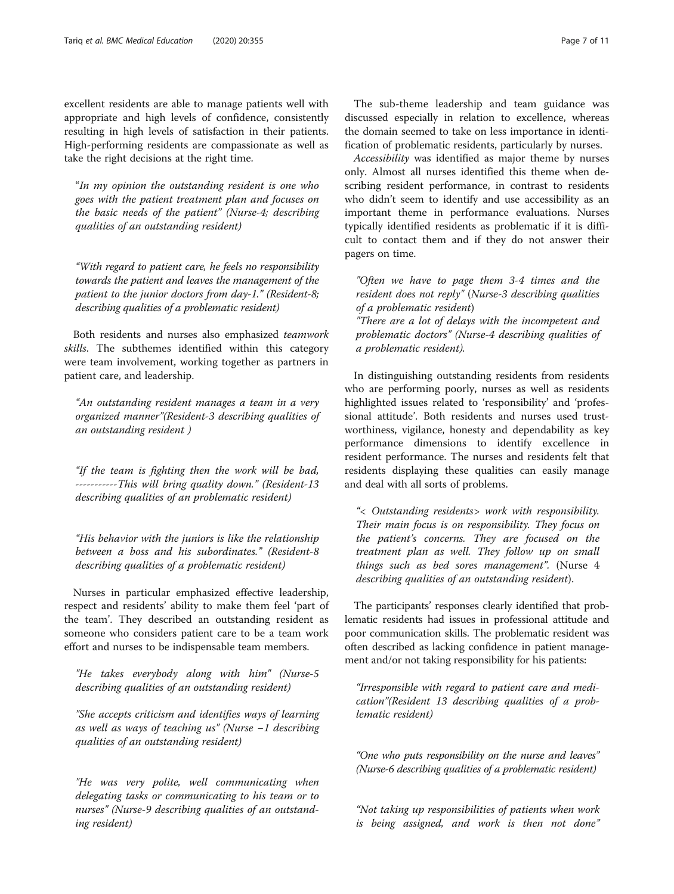excellent residents are able to manage patients well with appropriate and high levels of confidence, consistently resulting in high levels of satisfaction in their patients. High-performing residents are compassionate as well as take the right decisions at the right time.

"In my opinion the outstanding resident is one who goes with the patient treatment plan and focuses on the basic needs of the patient" (Nurse-4; describing qualities of an outstanding resident)

"With regard to patient care, he feels no responsibility towards the patient and leaves the management of the patient to the junior doctors from day-1." (Resident-8; describing qualities of a problematic resident)

Both residents and nurses also emphasized teamwork skills. The subthemes identified within this category were team involvement, working together as partners in patient care, and leadership.

"An outstanding resident manages a team in a very organized manner"(Resident-3 describing qualities of an outstanding resident )

"If the team is fighting then the work will be bad, -----------This will bring quality down." (Resident-13 describing qualities of an problematic resident)

"His behavior with the juniors is like the relationship between a boss and his subordinates." (Resident-8 describing qualities of a problematic resident)

Nurses in particular emphasized effective leadership, respect and residents' ability to make them feel 'part of the team'. They described an outstanding resident as someone who considers patient care to be a team work effort and nurses to be indispensable team members.

"He takes everybody along with him" (Nurse-5 describing qualities of an outstanding resident)

"She accepts criticism and identifies ways of learning as well as ways of teaching us" (Nurse −1 describing qualities of an outstanding resident)

"He was very polite, well communicating when delegating tasks or communicating to his team or to nurses" (Nurse-9 describing qualities of an outstanding resident)

The sub-theme leadership and team guidance was discussed especially in relation to excellence, whereas the domain seemed to take on less importance in identification of problematic residents, particularly by nurses.

Accessibility was identified as major theme by nurses only. Almost all nurses identified this theme when describing resident performance, in contrast to residents who didn't seem to identify and use accessibility as an important theme in performance evaluations. Nurses typically identified residents as problematic if it is difficult to contact them and if they do not answer their pagers on time.

"Often we have to page them 3-4 times and the resident does not reply" (Nurse-3 describing qualities of a problematic resident)

"There are a lot of delays with the incompetent and problematic doctors" (Nurse-4 describing qualities of a problematic resident).

In distinguishing outstanding residents from residents who are performing poorly, nurses as well as residents highlighted issues related to 'responsibility' and 'professional attitude'. Both residents and nurses used trustworthiness, vigilance, honesty and dependability as key performance dimensions to identify excellence in resident performance. The nurses and residents felt that residents displaying these qualities can easily manage and deal with all sorts of problems.

"< Outstanding residents> work with responsibility. Their main focus is on responsibility. They focus on the patient's concerns. They are focused on the treatment plan as well. They follow up on small things such as bed sores management". (Nurse 4 describing qualities of an outstanding resident).

The participants' responses clearly identified that problematic residents had issues in professional attitude and poor communication skills. The problematic resident was often described as lacking confidence in patient management and/or not taking responsibility for his patients:

"Irresponsible with regard to patient care and medication"(Resident 13 describing qualities of a problematic resident)

"One who puts responsibility on the nurse and leaves" (Nurse-6 describing qualities of a problematic resident)

"Not taking up responsibilities of patients when work is being assigned, and work is then not done"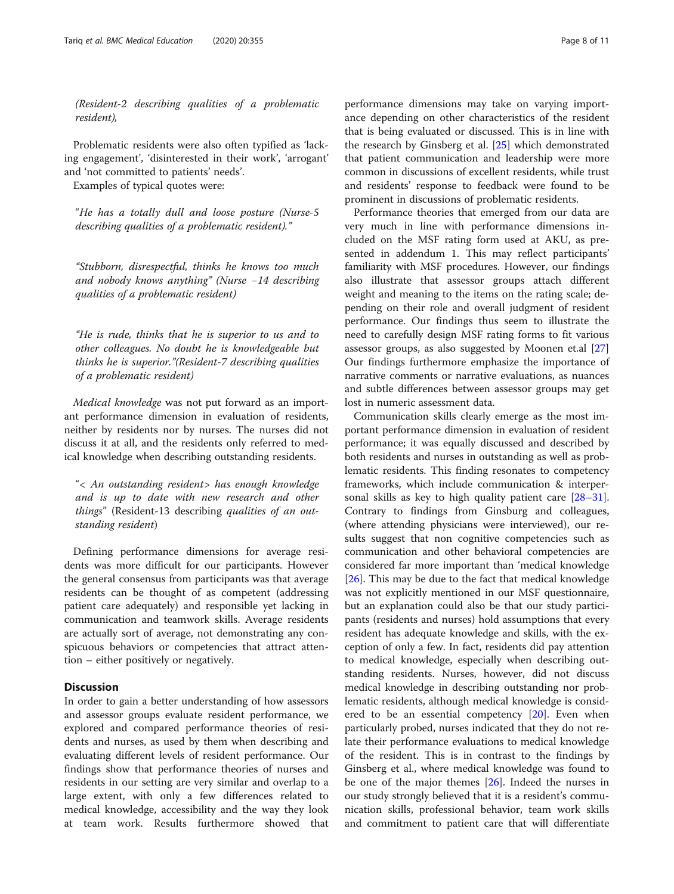(Resident-2 describing qualities of a problematic resident),

Problematic residents were also often typified as 'lacking engagement', 'disinterested in their work', 'arrogant' and 'not committed to patients' needs'.

Examples of typical quotes were:

"He has a totally dull and loose posture (Nurse-5 describing qualities of a problematic resident)."

"Stubborn, disrespectful, thinks he knows too much and nobody knows anything" (Nurse −14 describing qualities of a problematic resident)

"He is rude, thinks that he is superior to us and to other colleagues. No doubt he is knowledgeable but thinks he is superior."(Resident-7 describing qualities of a problematic resident)

Medical knowledge was not put forward as an important performance dimension in evaluation of residents, neither by residents nor by nurses. The nurses did not discuss it at all, and the residents only referred to medical knowledge when describing outstanding residents.

"< An outstanding resident> has enough knowledge and is up to date with new research and other things" (Resident-13 describing qualities of an outstanding resident)

Defining performance dimensions for average residents was more difficult for our participants. However the general consensus from participants was that average residents can be thought of as competent (addressing patient care adequately) and responsible yet lacking in communication and teamwork skills. Average residents are actually sort of average, not demonstrating any conspicuous behaviors or competencies that attract attention – either positively or negatively.

# **Discussion**

In order to gain a better understanding of how assessors and assessor groups evaluate resident performance, we explored and compared performance theories of residents and nurses, as used by them when describing and evaluating different levels of resident performance. Our findings show that performance theories of nurses and residents in our setting are very similar and overlap to a large extent, with only a few differences related to medical knowledge, accessibility and the way they look at team work. Results furthermore showed that

performance dimensions may take on varying importance depending on other characteristics of the resident that is being evaluated or discussed. This is in line with the research by Ginsberg et al. [\[25](#page-11-0)] which demonstrated that patient communication and leadership were more common in discussions of excellent residents, while trust and residents' response to feedback were found to be prominent in discussions of problematic residents.

Performance theories that emerged from our data are very much in line with performance dimensions included on the MSF rating form used at AKU, as presented in addendum 1. This may reflect participants' familiarity with MSF procedures. However, our findings also illustrate that assessor groups attach different weight and meaning to the items on the rating scale; depending on their role and overall judgment of resident performance. Our findings thus seem to illustrate the need to carefully design MSF rating forms to fit various assessor groups, as also suggested by Moonen et.al [[27](#page-11-0)] Our findings furthermore emphasize the importance of narrative comments or narrative evaluations, as nuances and subtle differences between assessor groups may get lost in numeric assessment data.

Communication skills clearly emerge as the most important performance dimension in evaluation of resident performance; it was equally discussed and described by both residents and nurses in outstanding as well as problematic residents. This finding resonates to competency frameworks, which include communication & interpersonal skills as key to high quality patient care [[28](#page-11-0)–[31](#page-11-0)]. Contrary to findings from Ginsburg and colleagues, (where attending physicians were interviewed), our results suggest that non cognitive competencies such as communication and other behavioral competencies are considered far more important than 'medical knowledge [[26\]](#page-11-0). This may be due to the fact that medical knowledge was not explicitly mentioned in our MSF questionnaire, but an explanation could also be that our study participants (residents and nurses) hold assumptions that every resident has adequate knowledge and skills, with the exception of only a few. In fact, residents did pay attention to medical knowledge, especially when describing outstanding residents. Nurses, however, did not discuss medical knowledge in describing outstanding nor problematic residents, although medical knowledge is consid-ered to be an essential competency [\[20](#page-11-0)]. Even when particularly probed, nurses indicated that they do not relate their performance evaluations to medical knowledge of the resident. This is in contrast to the findings by Ginsberg et al., where medical knowledge was found to be one of the major themes [\[26](#page-11-0)]. Indeed the nurses in our study strongly believed that it is a resident's communication skills, professional behavior, team work skills and commitment to patient care that will differentiate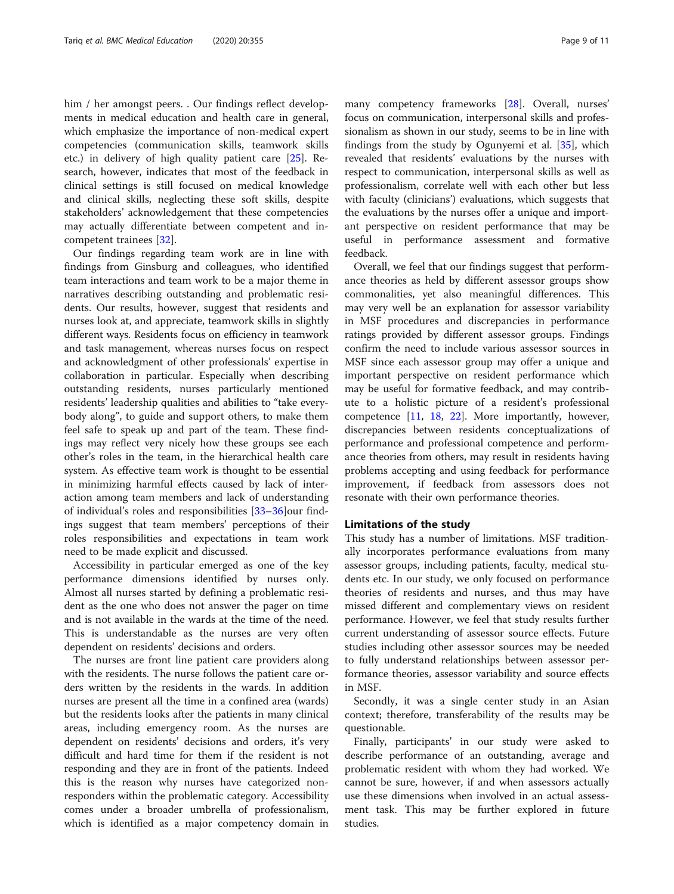him / her amongst peers. . Our findings reflect developments in medical education and health care in general, which emphasize the importance of non-medical expert competencies (communication skills, teamwork skills etc.) in delivery of high quality patient care [\[25](#page-11-0)]. Research, however, indicates that most of the feedback in clinical settings is still focused on medical knowledge and clinical skills, neglecting these soft skills, despite stakeholders' acknowledgement that these competencies may actually differentiate between competent and incompetent trainees [[32\]](#page-11-0).

Our findings regarding team work are in line with findings from Ginsburg and colleagues, who identified team interactions and team work to be a major theme in narratives describing outstanding and problematic residents. Our results, however, suggest that residents and nurses look at, and appreciate, teamwork skills in slightly different ways. Residents focus on efficiency in teamwork and task management, whereas nurses focus on respect and acknowledgment of other professionals' expertise in collaboration in particular. Especially when describing outstanding residents, nurses particularly mentioned residents' leadership qualities and abilities to "take everybody along", to guide and support others, to make them feel safe to speak up and part of the team. These findings may reflect very nicely how these groups see each other's roles in the team, in the hierarchical health care system. As effective team work is thought to be essential in minimizing harmful effects caused by lack of interaction among team members and lack of understanding of individual's roles and responsibilities [[33](#page-11-0)–[36](#page-11-0)]our findings suggest that team members' perceptions of their roles responsibilities and expectations in team work need to be made explicit and discussed.

Accessibility in particular emerged as one of the key performance dimensions identified by nurses only. Almost all nurses started by defining a problematic resident as the one who does not answer the pager on time and is not available in the wards at the time of the need. This is understandable as the nurses are very often dependent on residents' decisions and orders.

The nurses are front line patient care providers along with the residents. The nurse follows the patient care orders written by the residents in the wards. In addition nurses are present all the time in a confined area (wards) but the residents looks after the patients in many clinical areas, including emergency room. As the nurses are dependent on residents' decisions and orders, it's very difficult and hard time for them if the resident is not responding and they are in front of the patients. Indeed this is the reason why nurses have categorized nonresponders within the problematic category. Accessibility comes under a broader umbrella of professionalism, which is identified as a major competency domain in many competency frameworks [[28\]](#page-11-0). Overall, nurses' focus on communication, interpersonal skills and professionalism as shown in our study, seems to be in line with findings from the study by Ogunyemi et al. [\[35\]](#page-11-0), which revealed that residents' evaluations by the nurses with respect to communication, interpersonal skills as well as professionalism, correlate well with each other but less with faculty (clinicians') evaluations, which suggests that the evaluations by the nurses offer a unique and important perspective on resident performance that may be useful in performance assessment and formative feedback.

Overall, we feel that our findings suggest that performance theories as held by different assessor groups show commonalities, yet also meaningful differences. This may very well be an explanation for assessor variability in MSF procedures and discrepancies in performance ratings provided by different assessor groups. Findings confirm the need to include various assessor sources in MSF since each assessor group may offer a unique and important perspective on resident performance which may be useful for formative feedback, and may contribute to a holistic picture of a resident's professional competence [[11](#page-11-0), [18](#page-11-0), [22\]](#page-11-0). More importantly, however, discrepancies between residents conceptualizations of performance and professional competence and performance theories from others, may result in residents having problems accepting and using feedback for performance improvement, if feedback from assessors does not resonate with their own performance theories.

# Limitations of the study

This study has a number of limitations. MSF traditionally incorporates performance evaluations from many assessor groups, including patients, faculty, medical students etc. In our study, we only focused on performance theories of residents and nurses, and thus may have missed different and complementary views on resident performance. However, we feel that study results further current understanding of assessor source effects. Future studies including other assessor sources may be needed to fully understand relationships between assessor performance theories, assessor variability and source effects in MSF.

Secondly, it was a single center study in an Asian context; therefore, transferability of the results may be questionable.

Finally, participants' in our study were asked to describe performance of an outstanding, average and problematic resident with whom they had worked. We cannot be sure, however, if and when assessors actually use these dimensions when involved in an actual assessment task. This may be further explored in future studies.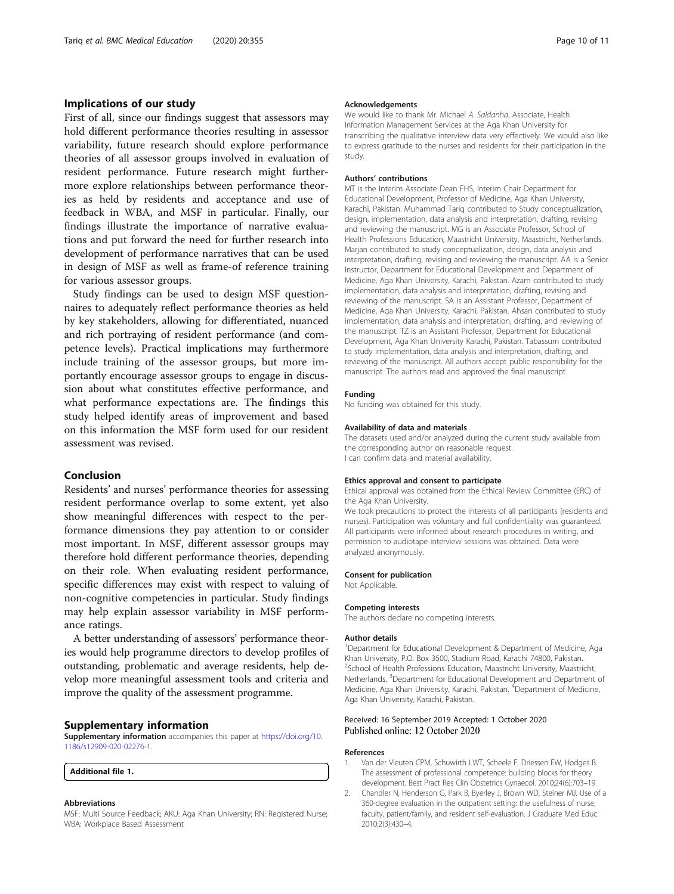# <span id="page-10-0"></span>Implications of our study

First of all, since our findings suggest that assessors may hold different performance theories resulting in assessor variability, future research should explore performance theories of all assessor groups involved in evaluation of resident performance. Future research might furthermore explore relationships between performance theories as held by residents and acceptance and use of feedback in WBA, and MSF in particular. Finally, our findings illustrate the importance of narrative evaluations and put forward the need for further research into development of performance narratives that can be used in design of MSF as well as frame-of reference training for various assessor groups.

Study findings can be used to design MSF questionnaires to adequately reflect performance theories as held by key stakeholders, allowing for differentiated, nuanced and rich portraying of resident performance (and competence levels). Practical implications may furthermore include training of the assessor groups, but more importantly encourage assessor groups to engage in discussion about what constitutes effective performance, and what performance expectations are. The findings this study helped identify areas of improvement and based on this information the MSF form used for our resident assessment was revised.

## Conclusion

Residents' and nurses' performance theories for assessing resident performance overlap to some extent, yet also show meaningful differences with respect to the performance dimensions they pay attention to or consider most important. In MSF, different assessor groups may therefore hold different performance theories, depending on their role. When evaluating resident performance, specific differences may exist with respect to valuing of non-cognitive competencies in particular. Study findings may help explain assessor variability in MSF performance ratings.

A better understanding of assessors' performance theories would help programme directors to develop profiles of outstanding, problematic and average residents, help develop more meaningful assessment tools and criteria and improve the quality of the assessment programme.

#### Supplementary information

Supplementary information accompanies this paper at [https://doi.org/10.](https://doi.org/10.1186/s12909-020-02276-1) [1186/s12909-020-02276-1](https://doi.org/10.1186/s12909-020-02276-1).

#### Additional file 1.

#### Abbreviations

MSF: Multi Source Feedback; AKU: Aga Khan University; RN: Registered Nurse; WBA: Workplace Based Assessment

#### Acknowledgements

We would like to thank Mr. Michael A. Saldanha, Associate, Health Information Management Services at the Aga Khan University for transcribing the qualitative interview data very effectively. We would also like to express gratitude to the nurses and residents for their participation in the study.

#### Authors' contributions

MT is the Interim Associate Dean FHS, Interim Chair Department for Educational Development, Professor of Medicine, Aga Khan University, Karachi, Pakistan. Muhammad Tariq contributed to Study conceptualization, design, implementation, data analysis and interpretation, drafting, revising and reviewing the manuscript. MG is an Associate Professor, School of Health Professions Education, Maastricht University, Maastricht, Netherlands. Marjan contributed to study conceptualization, design, data analysis and interpretation, drafting, revising and reviewing the manuscript. AA is a Senior Instructor, Department for Educational Development and Department of Medicine, Aga Khan University, Karachi, Pakistan. Azam contributed to study implementation, data analysis and interpretation, drafting, revising and reviewing of the manuscript. SA is an Assistant Professor, Department of Medicine, Aga Khan University, Karachi, Pakistan. Ahsan contributed to study implementation, data analysis and interpretation, drafting, and reviewing of the manuscript. TZ is an Assistant Professor, Department for Educational Development, Aga Khan University Karachi, Pakistan. Tabassum contributed to study implementation, data analysis and interpretation, drafting, and reviewing of the manuscript. All authors accept public responsibility for the manuscript. The authors read and approved the final manuscript

#### Funding

No funding was obtained for this study.

#### Availability of data and materials

The datasets used and/or analyzed during the current study available from the corresponding author on reasonable request. I can confirm data and material availability.

### Ethics approval and consent to participate

Ethical approval was obtained from the Ethical Review Committee (ERC) of the Aga Khan University.

We took precautions to protect the interests of all participants (residents and nurses). Participation was voluntary and full confidentiality was guaranteed. All participants were informed about research procedures in writing, and permission to audiotape interview sessions was obtained. Data were analyzed anonymously.

#### Consent for publication

Not Applicable.

#### Competing interests

The authors declare no competing interests.

#### Author details

<sup>1</sup>Department for Educational Development & Department of Medicine, Aga Khan University, P.O. Box 3500, Stadium Road, Karachi 74800, Pakistan. <sup>2</sup>School of Health Professions Education, Maastricht University, Maastricht Netherlands. <sup>3</sup>Department for Educational Development and Department of Medicine, Aga Khan University, Karachi, Pakistan. <sup>4</sup>Department of Medicine, Aga Khan University, Karachi, Pakistan.

#### Received: 16 September 2019 Accepted: 1 October 2020 Published online: 12 October 2020

#### References

- 1. Van der Vleuten CPM, Schuwirth LWT, Scheele F, Driessen EW, Hodges B. The assessment of professional competence: building blocks for theory development. Best Pract Res Clin Obstetrics Gynaecol. 2010;24(6):703–19.
- 2. Chandler N, Henderson G, Park B, Byerley J, Brown WD, Steiner MJ. Use of a 360-degree evaluation in the outpatient setting: the usefulness of nurse, faculty, patient/family, and resident self-evaluation. J Graduate Med Educ. 2010;2(3):430–4.